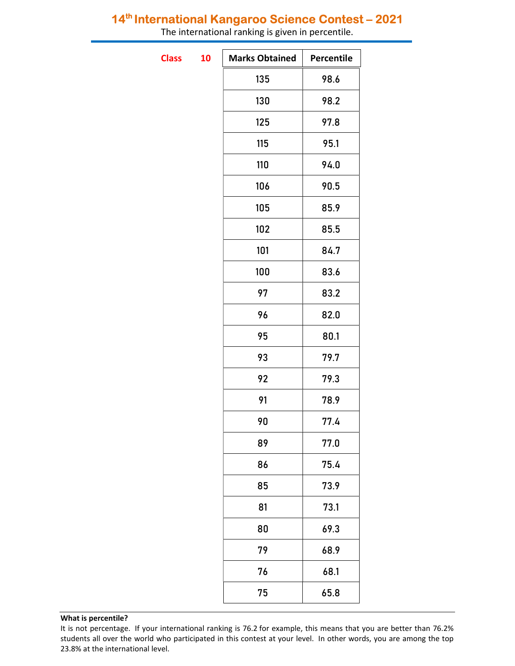# 14<sup>th</sup> International Kangaroo Science Contest - 2021

The international ranking is given in percentile.

**Class** 

| 10 | <b>Marks Obtained</b> | Percentile |
|----|-----------------------|------------|
|    | 135                   | 98.6       |
|    | 130                   | 98.2       |
|    | 125                   | 97.8       |
|    | 115                   | 95.1       |
|    | 110                   | 94.0       |
|    | 106                   | 90.5       |
|    | 105                   | 85.9       |
|    | 102                   | 85.5       |
|    | 101                   | 84.7       |
|    | 100                   | 83.6       |
|    | 97                    | 83.2       |
|    | 96                    | 82.0       |
|    | 95                    | 80.1       |
|    | 93                    | 79.7       |
|    | 92                    | 79.3       |
|    | 91                    | 78.9       |
|    | 90                    | 77.4       |
|    | 89                    | 77.0       |
|    | 86                    | 75.4       |
|    | 85                    | 73.9       |
|    | 81                    | 73.1       |
|    | 80                    | 69.3       |
|    | 79                    | 68.9       |
|    | 76                    | 68.1       |
|    | 75                    | 65.8       |

### What is percentile?

It is not percentage. If your international ranking is 76.2 for example, this means that you are better than 76.2% students all over the world who participated in this contest at your level. In other words, you are among the top 23.8% at the international level.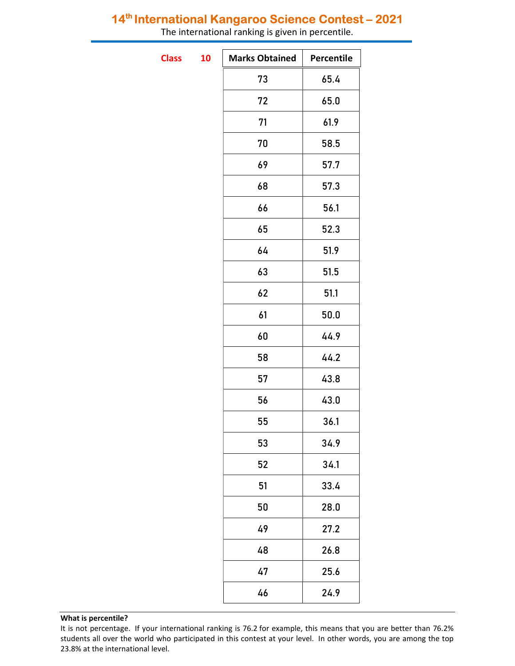# 14<sup>th</sup> International Kangaroo Science Contest - 2021

| The international ranking is given in percentile. |    |                       |                   |  |  |  |  |
|---------------------------------------------------|----|-----------------------|-------------------|--|--|--|--|
| <b>Class</b>                                      | 10 | <b>Marks Obtained</b> | <b>Percentile</b> |  |  |  |  |
|                                                   |    | 73                    | 65.4              |  |  |  |  |
|                                                   |    | 72                    | 65.0              |  |  |  |  |
|                                                   |    | 71                    | 61.9              |  |  |  |  |
|                                                   |    | 70                    | 58.5              |  |  |  |  |
|                                                   |    | 69                    | 57.7              |  |  |  |  |
|                                                   |    | 68                    | 57.3              |  |  |  |  |
|                                                   |    | 66                    | 56.1              |  |  |  |  |
|                                                   |    | 65                    | 52.3              |  |  |  |  |
|                                                   |    | 64                    | 51.9              |  |  |  |  |
|                                                   |    | 63                    | 51.5              |  |  |  |  |
|                                                   |    | 62                    | 51.1              |  |  |  |  |

61 50.0

60 44.9

58 44.2

57 43.8

56 43.0

55 36.1

53 34.9

52 34.1

51 33.4

50 28.0

49 27.2

48 26.8

47 25.6

46 24.9

#### What is percentile?

It is not percentage. If your international ranking is 76.2 for example, this means that you are better than 76.2% students all over the world who participated in this contest at your level. In other words, you are among the top 23.8% at the international level.